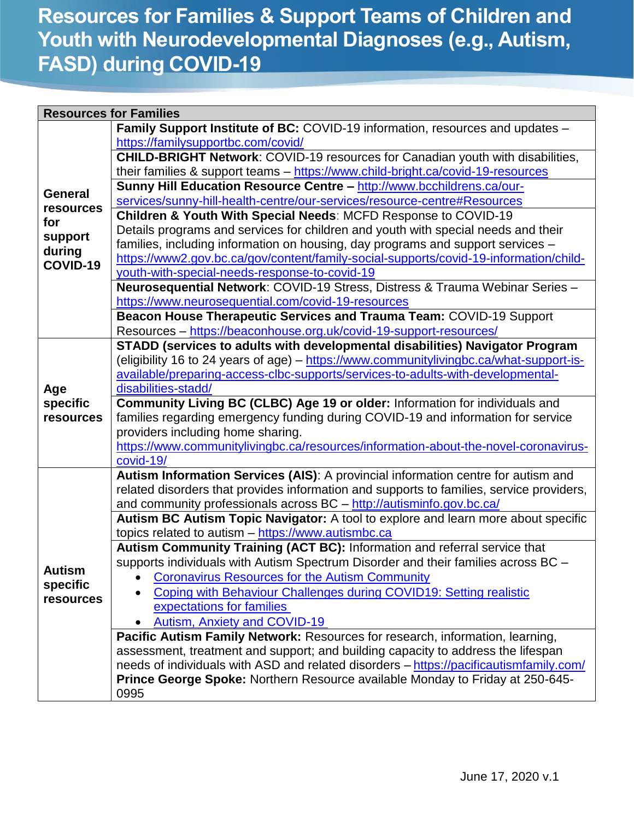## **Resources for Families & Support Teams of Children and Youth with Neurodevelopmental Diagnoses (e.g., Autism, FASD) during COVID-19**

| <b>Resources for Families</b>                                       |                                                                                          |  |
|---------------------------------------------------------------------|------------------------------------------------------------------------------------------|--|
| <b>General</b><br>resources<br>for<br>support<br>during<br>COVID-19 | Family Support Institute of BC: COVID-19 information, resources and updates -            |  |
|                                                                     | https://familysupportbc.com/covid/                                                       |  |
|                                                                     | <b>CHILD-BRIGHT Network: COVID-19 resources for Canadian youth with disabilities,</b>    |  |
|                                                                     | their families & support teams - https://www.child-bright.ca/covid-19-resources          |  |
|                                                                     | Sunny Hill Education Resource Centre - http://www.bcchildrens.ca/our-                    |  |
|                                                                     | services/sunny-hill-health-centre/our-services/resource-centre#Resources                 |  |
|                                                                     | Children & Youth With Special Needs: MCFD Response to COVID-19                           |  |
|                                                                     | Details programs and services for children and youth with special needs and their        |  |
|                                                                     | families, including information on housing, day programs and support services -          |  |
|                                                                     | https://www2.gov.bc.ca/gov/content/family-social-supports/covid-19-information/child-    |  |
|                                                                     | youth-with-special-needs-response-to-covid-19                                            |  |
|                                                                     | Neurosequential Network: COVID-19 Stress, Distress & Trauma Webinar Series -             |  |
|                                                                     | https://www.neurosequential.com/covid-19-resources                                       |  |
|                                                                     | Beacon House Therapeutic Services and Trauma Team: COVID-19 Support                      |  |
|                                                                     | Resources - https://beaconhouse.org.uk/covid-19-support-resources/                       |  |
|                                                                     | STADD (services to adults with developmental disabilities) Navigator Program             |  |
|                                                                     | (eligibility 16 to 24 years of age) – https://www.communitylivingbc.ca/what-support-is-  |  |
|                                                                     | available/preparing-access-clbc-supports/services-to-adults-with-developmental-          |  |
| Age                                                                 | disabilities-stadd/                                                                      |  |
| specific                                                            | Community Living BC (CLBC) Age 19 or older: Information for individuals and              |  |
| resources                                                           | families regarding emergency funding during COVID-19 and information for service         |  |
|                                                                     | providers including home sharing.                                                        |  |
|                                                                     | https://www.communitylivingbc.ca/resources/information-about-the-novel-coronavirus-      |  |
|                                                                     | covid-19/                                                                                |  |
|                                                                     | Autism Information Services (AIS): A provincial information centre for autism and        |  |
|                                                                     | related disorders that provides information and supports to families, service providers, |  |
|                                                                     | and community professionals across BC - http://autisminfo.gov.bc.ca/                     |  |
|                                                                     | Autism BC Autism Topic Navigator: A tool to explore and learn more about specific        |  |
|                                                                     | topics related to autism - https://www.autismbc.ca                                       |  |
|                                                                     | Autism Community Training (ACT BC): Information and referral service that                |  |
|                                                                     | supports individuals with Autism Spectrum Disorder and their families across BC -        |  |
| <b>Autism</b>                                                       | <b>Coronavirus Resources for the Autism Community</b><br>٠                               |  |
| specific<br>resources                                               | Coping with Behaviour Challenges during COVID19: Setting realistic                       |  |
|                                                                     | expectations for families                                                                |  |
|                                                                     | <b>Autism, Anxiety and COVID-19</b>                                                      |  |
|                                                                     | Pacific Autism Family Network: Resources for research, information, learning,            |  |
|                                                                     | assessment, treatment and support; and building capacity to address the lifespan         |  |
|                                                                     | needs of individuals with ASD and related disorders - https://pacificautismfamily.com/   |  |
|                                                                     | Prince George Spoke: Northern Resource available Monday to Friday at 250-645-            |  |
|                                                                     | 0995                                                                                     |  |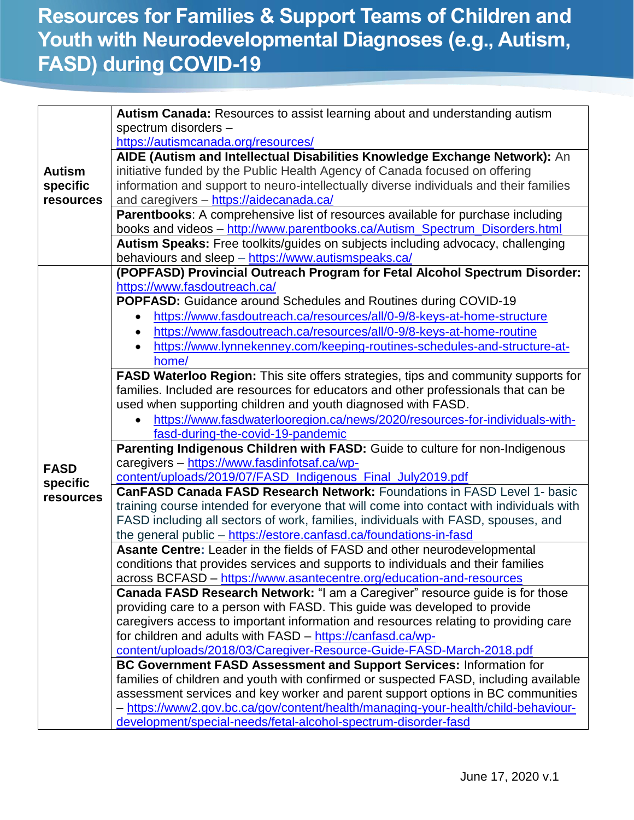## **Resources for Families & Support Teams of Children and Youth with Neurodevelopmental Diagnoses (e.g., Autism, FASD) during COVID-19**

|               | Autism Canada: Resources to assist learning about and understanding autism                                                                                                                                                                     |
|---------------|------------------------------------------------------------------------------------------------------------------------------------------------------------------------------------------------------------------------------------------------|
|               | spectrum disorders -                                                                                                                                                                                                                           |
|               | https://autismcanada.org/resources/                                                                                                                                                                                                            |
|               | AIDE (Autism and Intellectual Disabilities Knowledge Exchange Network): An                                                                                                                                                                     |
| <b>Autism</b> | initiative funded by the Public Health Agency of Canada focused on offering                                                                                                                                                                    |
| specific      | information and support to neuro-intellectually diverse individuals and their families                                                                                                                                                         |
| resources     | and caregivers - https://aidecanada.ca/                                                                                                                                                                                                        |
|               |                                                                                                                                                                                                                                                |
|               | Parentbooks: A comprehensive list of resources available for purchase including                                                                                                                                                                |
|               | books and videos - http://www.parentbooks.ca/Autism_Spectrum_Disorders.html                                                                                                                                                                    |
|               | Autism Speaks: Free toolkits/guides on subjects including advocacy, challenging                                                                                                                                                                |
|               | behaviours and sleep - https://www.autismspeaks.ca/                                                                                                                                                                                            |
|               | (POPFASD) Provincial Outreach Program for Fetal Alcohol Spectrum Disorder:                                                                                                                                                                     |
|               | https://www.fasdoutreach.ca/                                                                                                                                                                                                                   |
|               | <b>POPFASD:</b> Guidance around Schedules and Routines during COVID-19                                                                                                                                                                         |
|               | https://www.fasdoutreach.ca/resources/all/0-9/8-keys-at-home-structure<br>$\bullet$                                                                                                                                                            |
|               | https://www.fasdoutreach.ca/resources/all/0-9/8-keys-at-home-routine                                                                                                                                                                           |
|               | https://www.lynnekenney.com/keeping-routines-schedules-and-structure-at-                                                                                                                                                                       |
|               | home/                                                                                                                                                                                                                                          |
|               | FASD Waterloo Region: This site offers strategies, tips and community supports for                                                                                                                                                             |
|               | families. Included are resources for educators and other professionals that can be                                                                                                                                                             |
|               | used when supporting children and youth diagnosed with FASD.                                                                                                                                                                                   |
|               | https://www.fasdwaterlooregion.ca/news/2020/resources-for-individuals-with-                                                                                                                                                                    |
|               | fasd-during-the-covid-19-pandemic                                                                                                                                                                                                              |
|               | Parenting Indigenous Children with FASD: Guide to culture for non-Indigenous                                                                                                                                                                   |
| <b>FASD</b>   | caregivers - https://www.fasdinfotsaf.ca/wp-                                                                                                                                                                                                   |
| specific      | content/uploads/2019/07/FASD_Indigenous_Final_July2019.pdf                                                                                                                                                                                     |
| resources     | CanFASD Canada FASD Research Network: Foundations in FASD Level 1- basic                                                                                                                                                                       |
|               | training course intended for everyone that will come into contact with individuals with                                                                                                                                                        |
|               | FASD including all sectors of work, families, individuals with FASD, spouses, and                                                                                                                                                              |
|               | the general public - https://estore.canfasd.ca/foundations-in-fasd                                                                                                                                                                             |
|               | Asante Centre: Leader in the fields of FASD and other neurodevelopmental                                                                                                                                                                       |
|               | conditions that provides services and supports to individuals and their families                                                                                                                                                               |
|               | across BCFASD - https://www.asantecentre.org/education-and-resources                                                                                                                                                                           |
|               | Canada FASD Research Network: "I am a Caregiver" resource guide is for those                                                                                                                                                                   |
|               | providing care to a person with FASD. This guide was developed to provide                                                                                                                                                                      |
|               | caregivers access to important information and resources relating to providing care                                                                                                                                                            |
|               | for children and adults with FASD - https://canfasd.ca/wp-                                                                                                                                                                                     |
|               | content/uploads/2018/03/Caregiver-Resource-Guide-FASD-March-2018.pdf                                                                                                                                                                           |
|               |                                                                                                                                                                                                                                                |
|               |                                                                                                                                                                                                                                                |
|               |                                                                                                                                                                                                                                                |
|               | - https://www2.gov.bc.ca/gov/content/health/managing-your-health/child-behaviour-                                                                                                                                                              |
|               | development/special-needs/fetal-alcohol-spectrum-disorder-fasd                                                                                                                                                                                 |
|               | BC Government FASD Assessment and Support Services: Information for<br>families of children and youth with confirmed or suspected FASD, including available<br>assessment services and key worker and parent support options in BC communities |